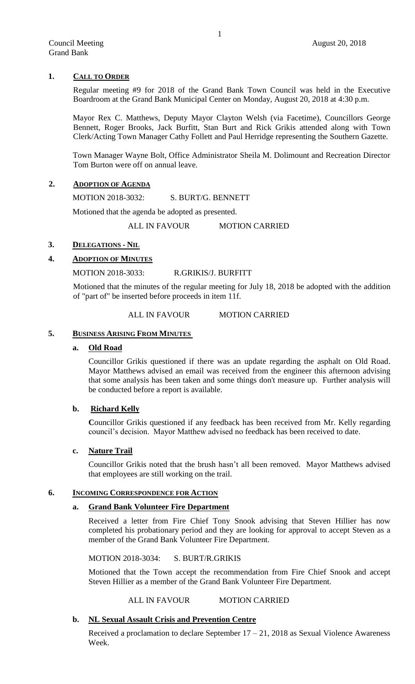# **1. CALL TO ORDER**

Regular meeting #9 for 2018 of the Grand Bank Town Council was held in the Executive Boardroom at the Grand Bank Municipal Center on Monday, August 20, 2018 at 4:30 p.m.

Mayor Rex C. Matthews, Deputy Mayor Clayton Welsh (via Facetime), Councillors George Bennett, Roger Brooks, Jack Burfitt, Stan Burt and Rick Grikis attended along with Town Clerk/Acting Town Manager Cathy Follett and Paul Herridge representing the Southern Gazette.

Town Manager Wayne Bolt, Office Administrator Sheila M. Dolimount and Recreation Director Tom Burton were off on annual leave.

# **2. ADOPTION OF AGENDA**

MOTION 2018-3032: S. BURT/G. BENNETT

Motioned that the agenda be adopted as presented.

ALL IN FAVOUR MOTION CARRIED

# **3. DELEGATIONS - NIL**

# **4. ADOPTION OF MINUTES**

MOTION 2018-3033: R.GRIKIS/J. BURFITT

Motioned that the minutes of the regular meeting for July 18, 2018 be adopted with the addition of "part of" be inserted before proceeds in item 11f.

# ALL IN FAVOUR MOTION CARRIED

## **5. BUSINESS ARISING FROM MINUTES**

## **a. Old Road**

Councillor Grikis questioned if there was an update regarding the asphalt on Old Road. Mayor Matthews advised an email was received from the engineer this afternoon advising that some analysis has been taken and some things don't measure up. Further analysis will be conducted before a report is available.

# **b. Richard Kelly**

**C**ouncillor Grikis questioned if any feedback has been received from Mr. Kelly regarding council's decision. Mayor Matthew advised no feedback has been received to date.

#### **c. Nature Trail**

Councillor Grikis noted that the brush hasn't all been removed. Mayor Matthews advised that employees are still working on the trail.

#### **6. INCOMING CORRESPONDENCE FOR ACTION**

## **a. Grand Bank Volunteer Fire Department**

Received a letter from Fire Chief Tony Snook advising that Steven Hillier has now completed his probationary period and they are looking for approval to accept Steven as a member of the Grand Bank Volunteer Fire Department.

MOTION 2018-3034: S. BURT/R.GRIKIS

Motioned that the Town accept the recommendation from Fire Chief Snook and accept Steven Hillier as a member of the Grand Bank Volunteer Fire Department.

## ALL IN FAVOUR MOTION CARRIED

#### **b. NL Sexual Assault Crisis and Prevention Centre**

Received a proclamation to declare September  $17 - 21$ , 2018 as Sexual Violence Awareness Week.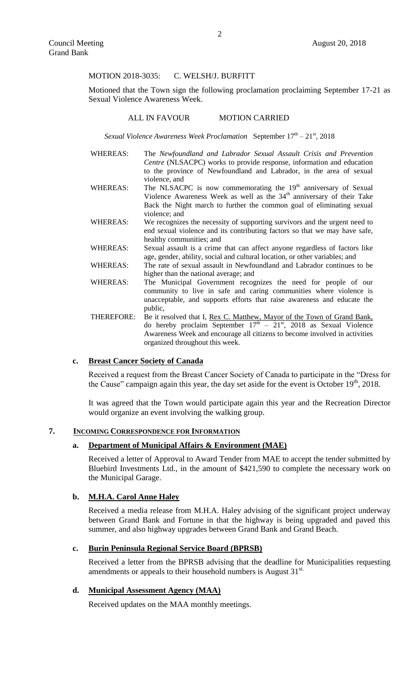#### MOTION 2018-3035: C. WELSH/J. BURFITT

Motioned that the Town sign the following proclamation proclaiming September 17-21 as Sexual Violence Awareness Week.

#### ALL IN FAVOUR MOTION CARRIED

Sexual Violence Awareness Week Proclamation September 17<sup>th</sup> – 21<sup>st</sup>, 2018

- WHEREAS: The *Newfoundland and Labrador Sexual Assault Crisis and Prevention Centre* (NLSACPC) works to provide response, information and education to the province of Newfoundland and Labrador, in the area of sexual violence, and
- WHEREAS: The NLSACPC is now commemorating the  $19<sup>th</sup>$  anniversary of Sexual Violence Awareness Week as well as the 34<sup>th</sup> anniversary of their Take Back the Night march to further the common goal of eliminating sexual violence; and
- WHEREAS: We recognizes the necessity of supporting survivors and the urgent need to end sexual violence and its contributing factors so that we may have safe, healthy communities; and
- WHEREAS: Sexual assault is a crime that can affect anyone regardless of factors like age, gender, ability, social and cultural location, or other variables; and
- WHEREAS: The rate of sexual assault in Newfoundland and Labrador continues to be higher than the national average; and
- WHEREAS: The Municipal Government recognizes the need for people of our community to live in safe and caring communities where violence is unacceptable, and supports efforts that raise awareness and educate the public,
- THEREFORE: Be it resolved that I, Rex C. Matthew, Mayor of the Town of Grand Bank, do hereby proclaim September  $17<sup>th</sup> - 21<sup>st</sup>$ , 2018 as Sexual Violence Awareness Week and encourage all citizens to become involved in activities organized throughout this week.

# **c. Breast Cancer Society of Canada**

Received a request from the Breast Cancer Society of Canada to participate in the "Dress for the Cause" campaign again this year, the day set aside for the event is October  $19<sup>th</sup>$ , 2018.

It was agreed that the Town would participate again this year and the Recreation Director would organize an event involving the walking group.

#### **7. INCOMING CORRESPONDENCE FOR INFORMATION**

#### **a. Department of Municipal Affairs & Environment (MAE)**

Received a letter of Approval to Award Tender from MAE to accept the tender submitted by Bluebird Investments Ltd., in the amount of \$421,590 to complete the necessary work on the Municipal Garage.

## **b. M.H.A. Carol Anne Haley**

Received a media release from M.H.A. Haley advising of the significant project underway between Grand Bank and Fortune in that the highway is being upgraded and paved this summer, and also highway upgrades between Grand Bank and Grand Beach.

#### **c. Burin Peninsula Regional Service Board (BPRSB)**

Received a letter from the BPRSB advising that the deadline for Municipalities requesting amendments or appeals to their household numbers is August  $31<sup>st.</sup>$ 

# **d. Municipal Assessment Agency (MAA)**

Received updates on the MAA monthly meetings.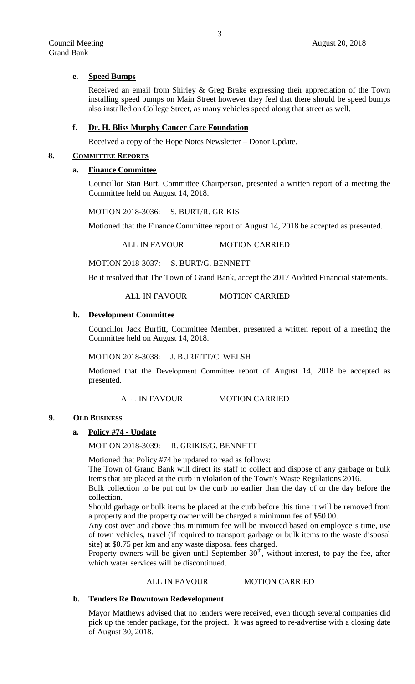## **e. Speed Bumps**

Received an email from Shirley & Greg Brake expressing their appreciation of the Town installing speed bumps on Main Street however they feel that there should be speed bumps also installed on College Street, as many vehicles speed along that street as well.

#### **f. Dr. H. Bliss Murphy Cancer Care Foundation**

Received a copy of the Hope Notes Newsletter – Donor Update.

#### **8. COMMITTEE REPORTS**

# **a. Finance Committee**

Councillor Stan Burt, Committee Chairperson, presented a written report of a meeting the Committee held on August 14, 2018.

MOTION 2018-3036: S. BURT/R. GRIKIS

Motioned that the Finance Committee report of August 14, 2018 be accepted as presented.

ALL IN FAVOUR MOTION CARRIED

MOTION 2018-3037: S. BURT/G. BENNETT

Be it resolved that The Town of Grand Bank, accept the 2017 Audited Financial statements.

ALL IN FAVOUR MOTION CARRIED

# **b. Development Committee**

Councillor Jack Burfitt, Committee Member, presented a written report of a meeting the Committee held on August 14, 2018.

MOTION 2018-3038: J. BURFITT/C. WELSH

Motioned that the Development Committee report of August 14, 2018 be accepted as presented.

## ALL IN FAVOUR MOTION CARRIED

## **9. OLD BUSINESS**

## **a. Policy #74 - Update**

MOTION 2018-3039: R. GRIKIS/G. BENNETT

Motioned that Policy #74 be updated to read as follows:

The Town of Grand Bank will direct its staff to collect and dispose of any garbage or bulk items that are placed at the curb in violation of the Town's Waste Regulations 2016.

Bulk collection to be put out by the curb no earlier than the day of or the day before the collection.

Should garbage or bulk items be placed at the curb before this time it will be removed from a property and the property owner will be charged a minimum fee of \$50.00.

Any cost over and above this minimum fee will be invoiced based on employee's time, use of town vehicles, travel (if required to transport garbage or bulk items to the waste disposal site) at \$0.75 per km and any waste disposal fees charged.

Property owners will be given until September  $30<sup>th</sup>$ , without interest, to pay the fee, after which water services will be discontinued.

## ALL IN FAVOUR MOTION CARRIED

## **b. Tenders Re Downtown Redevelopment**

Mayor Matthews advised that no tenders were received, even though several companies did pick up the tender package, for the project. It was agreed to re-advertise with a closing date of August 30, 2018.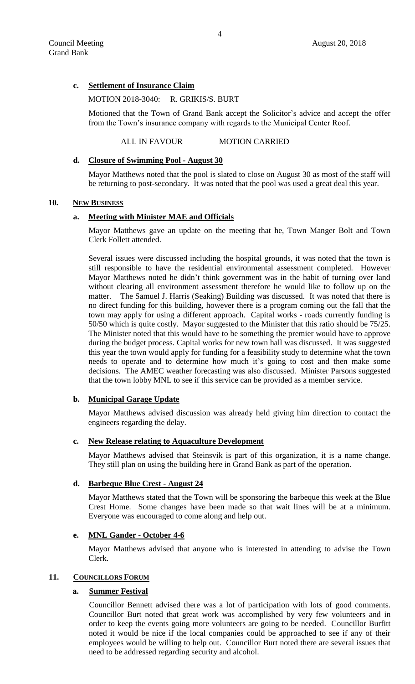# **c. Settlement of Insurance Claim**

#### MOTION 2018-3040: R. GRIKIS/S. BURT

Motioned that the Town of Grand Bank accept the Solicitor's advice and accept the offer from the Town's insurance company with regards to the Municipal Center Roof.

#### ALL IN FAVOUR MOTION CARRIED

#### **d. Closure of Swimming Pool - August 30**

Mayor Matthews noted that the pool is slated to close on August 30 as most of the staff will be returning to post-secondary. It was noted that the pool was used a great deal this year.

## **10. NEW BUSINESS**

# **a. Meeting with Minister MAE and Officials**

Mayor Matthews gave an update on the meeting that he, Town Manger Bolt and Town Clerk Follett attended.

Several issues were discussed including the hospital grounds, it was noted that the town is still responsible to have the residential environmental assessment completed. However Mayor Matthews noted he didn't think government was in the habit of turning over land without clearing all environment assessment therefore he would like to follow up on the matter. The Samuel J. Harris (Seaking) Building was discussed. It was noted that there is no direct funding for this building, however there is a program coming out the fall that the town may apply for using a different approach. Capital works - roads currently funding is 50/50 which is quite costly. Mayor suggested to the Minister that this ratio should be 75/25. The Minister noted that this would have to be something the premier would have to approve during the budget process. Capital works for new town hall was discussed. It was suggested this year the town would apply for funding for a feasibility study to determine what the town needs to operate and to determine how much it's going to cost and then make some decisions. The AMEC weather forecasting was also discussed. Minister Parsons suggested that the town lobby MNL to see if this service can be provided as a member service.

#### **b. Municipal Garage Update**

Mayor Matthews advised discussion was already held giving him direction to contact the engineers regarding the delay.

## **c. New Release relating to Aquaculture Development**

Mayor Matthews advised that Steinsvik is part of this organization, it is a name change. They still plan on using the building here in Grand Bank as part of the operation.

## **d. Barbeque Blue Crest - August 24**

Mayor Matthews stated that the Town will be sponsoring the barbeque this week at the Blue Crest Home. Some changes have been made so that wait lines will be at a minimum. Everyone was encouraged to come along and help out.

#### **e. MNL Gander - October 4-6**

Mayor Matthews advised that anyone who is interested in attending to advise the Town Clerk.

## 11. **COUNCILLORS FORUM**

# **a. Summer Festival**

Councillor Bennett advised there was a lot of participation with lots of good comments. Councillor Burt noted that great work was accomplished by very few volunteers and in order to keep the events going more volunteers are going to be needed. Councillor Burfitt noted it would be nice if the local companies could be approached to see if any of their employees would be willing to help out. Councillor Burt noted there are several issues that need to be addressed regarding security and alcohol.